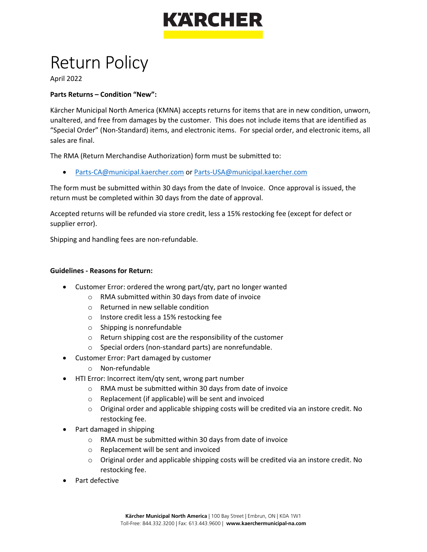

## Return Policy

April 2022

## **Parts Returns – Condition "New":**

Kärcher Municipal North America (KMNA) accepts returns for items that are in new condition, unworn, unaltered, and free from damages by the customer. This does not include items that are identified as "Special Order" (Non-Standard) items, and electronic items. For special order, and electronic items, all sales are final.

The RMA (Return Merchandise Authorization) form must be submitted to:

• [Parts-CA@municipal.kaercher.com](mailto:Parts-CA@municipal.kaercher.com) o[r Parts-USA@municipal.kaercher.com](mailto:Parts-USA@municipal.kaercher.com)

The form must be submitted within 30 days from the date of Invoice. Once approval is issued, the return must be completed within 30 days from the date of approval.

Accepted returns will be refunded via store credit, less a 15% restocking fee (except for defect or supplier error).

Shipping and handling fees are non-refundable.

## **Guidelines - Reasons for Return:**

- Customer Error: ordered the wrong part/qty, part no longer wanted
	- o RMA submitted within 30 days from date of invoice
	- o Returned in new sellable condition
	- o Instore credit less a 15% restocking fee
	- o Shipping is nonrefundable
	- o Return shipping cost are the responsibility of the customer
	- o Special orders (non-standard parts) are nonrefundable.
- Customer Error: Part damaged by customer
	- o Non-refundable
- HTI Error: Incorrect item/qty sent, wrong part number
	- o RMA must be submitted within 30 days from date of invoice
	- o Replacement (if applicable) will be sent and invoiced
	- $\circ$  Original order and applicable shipping costs will be credited via an instore credit. No restocking fee.
- Part damaged in shipping
	- o RMA must be submitted within 30 days from date of invoice
	- o Replacement will be sent and invoiced
	- $\circ$  Original order and applicable shipping costs will be credited via an instore credit. No restocking fee.
- Part defective